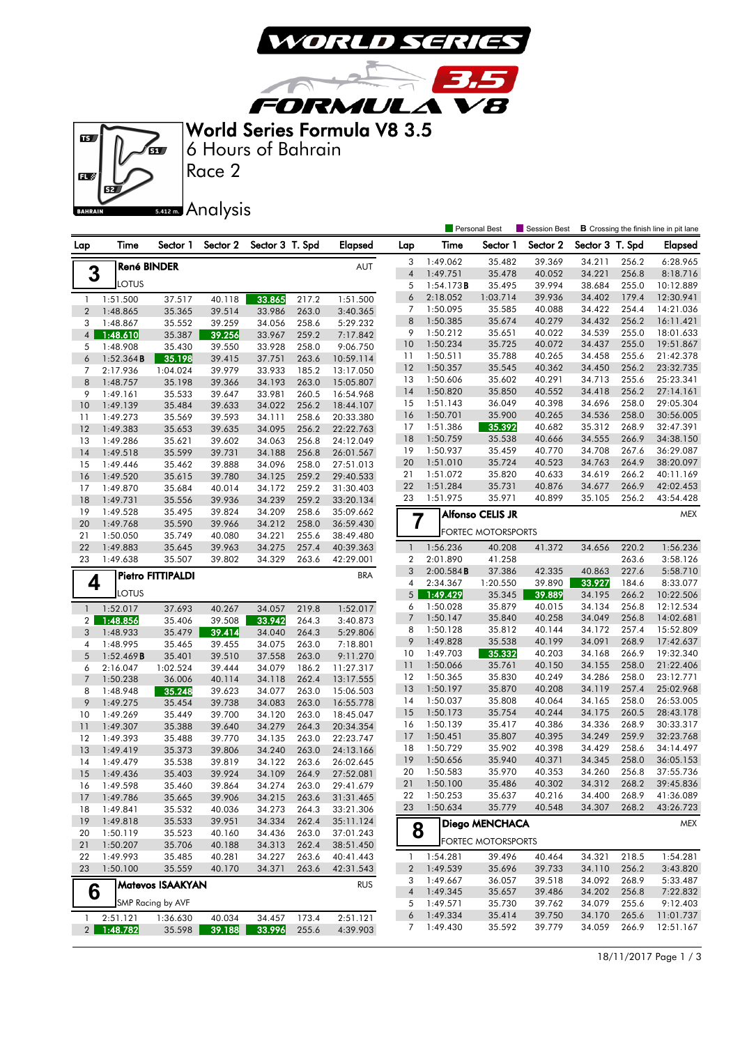

**FORMULA V8** World Series Formula V8 3.5



Race 2 6 Hours of Bahrain

 $\sqrt{2}$ 

5.412m. Analysis

|                |                       |                         |                  |                  |                |                        |                         |                      | Personal Best             | Session Best     |                  |                | <b>B</b> Crossing the finish line in pit lane |
|----------------|-----------------------|-------------------------|------------------|------------------|----------------|------------------------|-------------------------|----------------------|---------------------------|------------------|------------------|----------------|-----------------------------------------------|
| Lap            | Time                  | Sector 1                | Sector 2         | Sector 3 T. Spd  |                | <b>Elapsed</b>         | Lap                     | Time                 | Sector 1                  | Sector 2         | Sector 3 T. Spd  |                | <b>Elapsed</b>                                |
|                | <b>René BINDER</b>    |                         |                  |                  |                | AUT                    | 3                       | 1:49.062             | 35.482                    | 39.369           | 34.211           | 256.2          | 6:28.965                                      |
| 3              |                       |                         |                  |                  |                |                        | $\sqrt{4}$              | 1:49.751             | 35.478                    | 40.052           | 34.221           | 256.8          | 8:18.716                                      |
|                | LOTUS                 |                         |                  |                  |                |                        | 5                       | 1:54.173B            | 35.495                    | 39.994           | 38.684           | 255.0          | 10:12.889                                     |
| $\mathbf{1}$   | 1:51.500              | 37.517                  | 40.118           | 33.865           | 217.2          | 1:51.500               | 6                       | 2:18.052             | 1:03.714                  | 39.936           | 34.402           | 179.4          | 12:30.941                                     |
| $\overline{2}$ | 1:48.865              | 35.365                  | 39.514           | 33.986           | 263.0          | 3:40.365               | 7                       | 1:50.095             | 35.585                    | 40.088           | 34.422           | 254.4          | 14:21.036                                     |
| 3              | 1:48.867              | 35.552                  | 39.259           | 34.056           | 258.6          | 5:29.232               | 8                       | 1:50.385             | 35.674                    | 40.279           | 34.432           | 256.2          | 16:11.421                                     |
| $\overline{4}$ | 1:48.610              | 35.387                  | 39.256           | 33.967           | 259.2          | 7:17.842               | 9<br>10                 | 1:50.212<br>1:50.234 | 35.651<br>35.725          | 40.022<br>40.072 | 34.539<br>34.437 | 255.0<br>255.0 | 18:01.633<br>19:51.867                        |
| 5              | 1:48.908              | 35.430                  | 39.550           | 33.928           | 258.0          | 9:06.750               | 11                      | 1:50.511             | 35.788                    | 40.265           | 34.458           | 255.6          | 21:42.378                                     |
| 6              | 1:52.364B             | 35.198                  | 39.415           | 37.751           | 263.6          | 10:59.114              | 12                      | 1:50.357             | 35.545                    | 40.362           | 34.450           | 256.2          | 23:32.735                                     |
| 7<br>8         | 2:17.936<br>1:48.757  | 1:04.024<br>35.198      | 39.979<br>39.366 | 33.933<br>34.193 | 185.2<br>263.0 | 13:17.050<br>15:05.807 | 13                      | 1:50.606             | 35.602                    | 40.291           | 34.713           | 255.6          | 25:23.341                                     |
| 9              | 1:49.161              | 35.533                  | 39.647           | 33.981           | 260.5          | 16:54.968              | 14                      | 1:50.820             | 35.850                    | 40.552           | 34.418           | 256.2          | 27:14.161                                     |
| 10             | 1:49.139              | 35.484                  | 39.633           | 34.022           | 256.2          | 18:44.107              | 15                      | 1:51.143             | 36.049                    | 40.398           | 34.696           | 258.0          | 29:05.304                                     |
| 11             | 1:49.273              | 35.569                  | 39.593           | 34.111           | 258.6          | 20:33.380              | 16                      | 1:50.701             | 35.900                    | 40.265           | 34.536           | 258.0          | 30:56.005                                     |
| 12             | 1:49.383              | 35.653                  | 39.635           | 34.095           | 256.2          | 22:22.763              | 17                      | 1:51.386             | 35.392                    | 40.682           | 35.312           | 268.9          | 32:47.391                                     |
| 13             | 1:49.286              | 35.621                  | 39.602           | 34.063           | 256.8          | 24:12.049              | 18                      | 1:50.759             | 35.538                    | 40.666           | 34.555           | 266.9          | 34:38.150                                     |
| 14             | 1:49.518              | 35.599                  | 39.731           | 34.188           | 256.8          | 26:01.567              | 19                      | 1:50.937             | 35.459                    | 40.770           | 34.708           | 267.6          | 36:29.087                                     |
| 15             | 1:49.446              | 35.462                  | 39.888           | 34.096           | 258.0          | 27:51.013              | 20                      | 1:51.010             | 35.724                    | 40.523           | 34.763           | 264.9          | 38:20.097                                     |
| 16             | 1:49.520              | 35.615                  | 39.780           | 34.125           | 259.2          | 29:40.533              | 21                      | 1:51.072             | 35.820                    | 40.633           | 34.619           | 266.2          | 40:11.169                                     |
| 17             | 1:49.870              | 35.684                  | 40.014           | 34.172           | 259.2          | 31:30.403              | 22                      | 1:51.284             | 35.731                    | 40.876           | 34.677           | 266.9          | 42:02.453                                     |
| 18             | 1:49.731              | 35.556                  | 39.936           | 34.239           | 259.2          | 33:20.134              | 23                      | 1:51.975             | 35.971                    | 40.899           | 35.105           | 256.2          | 43:54.428                                     |
| 19             | 1:49.528              | 35.495                  | 39.824           | 34.209           | 258.6          | 35:09.662              |                         |                      | <b>Alfonso CELIS JR</b>   |                  |                  |                | MEX                                           |
| 20             | 1:49.768              | 35.590                  | 39.966           | 34.212           | 258.0          | 36:59.430              | $\overline{7}$          |                      |                           |                  |                  |                |                                               |
| 21             | 1:50.050              | 35.749                  | 40.080           | 34.221           | 255.6          | 38:49.480              |                         |                      | <b>FORTEC MOTORSPORTS</b> |                  |                  |                |                                               |
| 22             | 1:49.883              | 35.645                  | 39.963           | 34.275           | 257.4          | 40:39.363              | $\mathbf{1}$            | 1:56.236             | 40.208                    | 41.372           | 34.656           | 220.2          | 1:56.236                                      |
| 23             | 1:49.638              | 35.507                  | 39.802           | 34.329           | 263.6          | 42:29.001              | $\overline{\mathbf{2}}$ | 2:01.890             | 41.258                    |                  |                  | 263.6          | 3:58.126                                      |
|                |                       | Pietro FITTIPALDI       |                  |                  |                | <b>BRA</b>             | 3                       | 2:00.584B            | 37.386                    | 42.335           | 40.863           | 227.6          | 5:58.710                                      |
| 4              | LOTUS                 |                         |                  |                  |                |                        | 4                       | 2:34.367             | 1:20.550                  | 39.890           | 33.927           | 184.6          | 8:33.077                                      |
|                |                       |                         |                  |                  |                |                        | 5                       | 1:49.429             | 35.345                    | 39.889           | 34.195<br>34.134 | 266.2          | 10:22.506                                     |
| $\mathbf{1}$   | 1:52.017              | 37.693                  | 40.267           | 34.057           | 219.8          | 1:52.017               | 6<br>$\overline{7}$     | 1:50.028<br>1:50.147 | 35.879<br>35.840          | 40.015<br>40.258 | 34.049           | 256.8<br>256.8 | 12:12.534<br>14:02.681                        |
| $\overline{2}$ | 1:48.856              | 35.406                  | 39.508           | 33.942           | 264.3          | 3:40.873               | 8                       | 1:50.128             | 35.812                    | 40.144           | 34.172           | 257.4          | 15:52.809                                     |
| 3              | 1:48.933              | 35.479                  | 39.414           | 34.040           | 264.3          | 5:29.806               | 9                       | 1:49.828             | 35.538                    | 40.199           | 34.091           | 268.9          | 17:42.637                                     |
| 4              | 1:48.995              | 35.465                  | 39.455           | 34.075           | 263.0          | 7:18.801               | 10                      | 1:49.703             | 35.332                    | 40.203           | 34.168           | 266.9          | 19:32.340                                     |
| 5<br>6         | 1:52.469B<br>2:16.047 | 35.401<br>1:02.524      | 39.510<br>39.444 | 37.558<br>34.079 | 263.0<br>186.2 | 9:11.270<br>11:27.317  | 11                      | 1:50.066             | 35.761                    | 40.150           | 34.155           | 258.0          | 21:22.406                                     |
| $\overline{7}$ | 1:50.238              | 36.006                  | 40.114           | 34.118           | 262.4          | 13:17.555              | 12                      | 1:50.365             | 35.830                    | 40.249           | 34.286           | 258.0          | 23:12.771                                     |
| 8              | 1:48.948              | 35.248                  | 39.623           | 34.077           | 263.0          | 15:06.503              | 13                      | 1:50.197             | 35.870                    | 40.208           | 34.119           | 257.4          | 25:02.968                                     |
| 9              | 1:49.275              | 35.454                  | 39.738           | 34.083           | 263.0          | 16:55.778              | 14                      | 1:50.037             | 35.808                    | 40.064           | 34.165           | 258.0          | 26:53.005                                     |
| 10             | 1:49.269              | 35.449                  | 39.700           | 34.120           | 263.0          | 18:45.047              | 15                      | 1:50.173             | 35.754                    | 40.244           | 34.175           | 260.5          | 28:43.178                                     |
| 11             | 1:49.307              | 35.388                  | 39.640           | 34.279           | 264.3          | 20:34.354              | 16                      | 1:50.139             | 35.417                    | 40.386           | 34.336           | 268.9          | 30:33.317                                     |
| 12             | 1:49.393              | 35.488                  | 39.770           | 34.135           | 263.0          | 22:23.747              | 17                      | 1:50.451             | 35.807                    | 40.395           | 34.249           | 259.9          | 32:23.768                                     |
| 13             | 1:49.419              | 35.373                  | 39.806           | 34.240           | 263.0          | 24:13.166              | 18                      | 1:50.729             | 35.902                    | 40.398           | 34.429           | 258.6          | 34:14.497                                     |
| 14             | 1:49.479              | 35.538                  | 39.819           | 34.122           | 263.6          | 26:02.645              | 19                      | 1:50.656             | 35.940                    | 40.371           | 34.345           | 258.0          | 36:05.153                                     |
| 15             | 1:49.436              | 35.403                  | 39.924           | 34.109           | 264.9          | 27:52.081              | 20                      | 1:50.583             | 35.970                    | 40.353           | 34.260           | 256.8          | 37:55.736                                     |
| 16             | 1:49.598              | 35.460                  | 39.864           | 34.274           | 263.0          | 29:41.679              | 21                      | 1:50.100             | 35.486                    | 40.302           | 34.312           | 268.2          | 39:45.836                                     |
| 17             | 1:49.786              | 35.665                  | 39.906           | 34.215           | 263.6          | 31:31.465              | 22                      | 1:50.253             | 35.637                    | 40.216           | 34.400           | 268.9          | 41:36.089                                     |
| 18             | 1:49.841              | 35.532                  | 40.036           | 34.273           | 264.3          | 33:21.306              | 23                      | 1:50.634             | 35.779                    | 40.548           | 34.307           | 268.2          | 43:26.723                                     |
| 19             | 1:49.818              | 35.533                  | 39.951           | 34.334           | 262.4          | 35:11.124              |                         |                      | <b>Diego MENCHACA</b>     |                  |                  |                | MEX                                           |
| 20             | 1:50.119              | 35.523                  | 40.160           | 34.436           | 263.0          | 37:01.243              | 8                       |                      |                           |                  |                  |                |                                               |
| 21             | 1:50.207              | 35.706                  | 40.188           | 34.313           | 262.4          | 38:51.450              |                         |                      | <b>FORTEC MOTORSPORTS</b> |                  |                  |                |                                               |
| 22             | 1:49.993              | 35.485                  | 40.281           | 34.227           | 263.6          | 40:41.443              | $\mathbf{1}$            | 1:54.281             | 39.496                    | 40.464           | 34.321           | 218.5          | 1:54.281                                      |
| 23             | 1:50.100              | 35.559                  | 40.170           | 34.371           | 263.6          | 42:31.543              | 2                       | 1:49.539             | 35.696                    | 39.733           | 34.110           | 256.2          | 3:43.820                                      |
|                |                       | <b>Matevos ISAAKYAN</b> |                  |                  |                | <b>RUS</b>             | 3                       | 1:49.667             | 36.057                    | 39.518           | 34.092           | 268.9          | 5:33.487                                      |
| 6              |                       |                         |                  |                  |                |                        | 4                       | 1:49.345             | 35.657                    | 39.486           | 34.202           | 256.8          | 7:22.832                                      |
|                |                       | SMP Racing by AVF       |                  |                  |                |                        | 5                       | 1:49.571             | 35.730                    | 39.762           | 34.079           | 255.6          | 9:12.403                                      |
| $\mathbf{1}$   | 2:51.121              | 1:36.630                | 40.034           | 34.457           | 173.4          | 2:51.121               | 6                       | 1:49.334             | 35.414                    | 39.750           | 34.170           | 265.6          | 11:01.737                                     |
| 2 <sub>1</sub> | 1:48.782              | 35.598                  | 39.188           | 33.996           | 255.6          | 4:39.903               | 7                       | 1:49.430             | 35.592                    | 39.779           | 34.059           | 266.9          | 12:51.167                                     |

18/11/2017 Page 1 / 3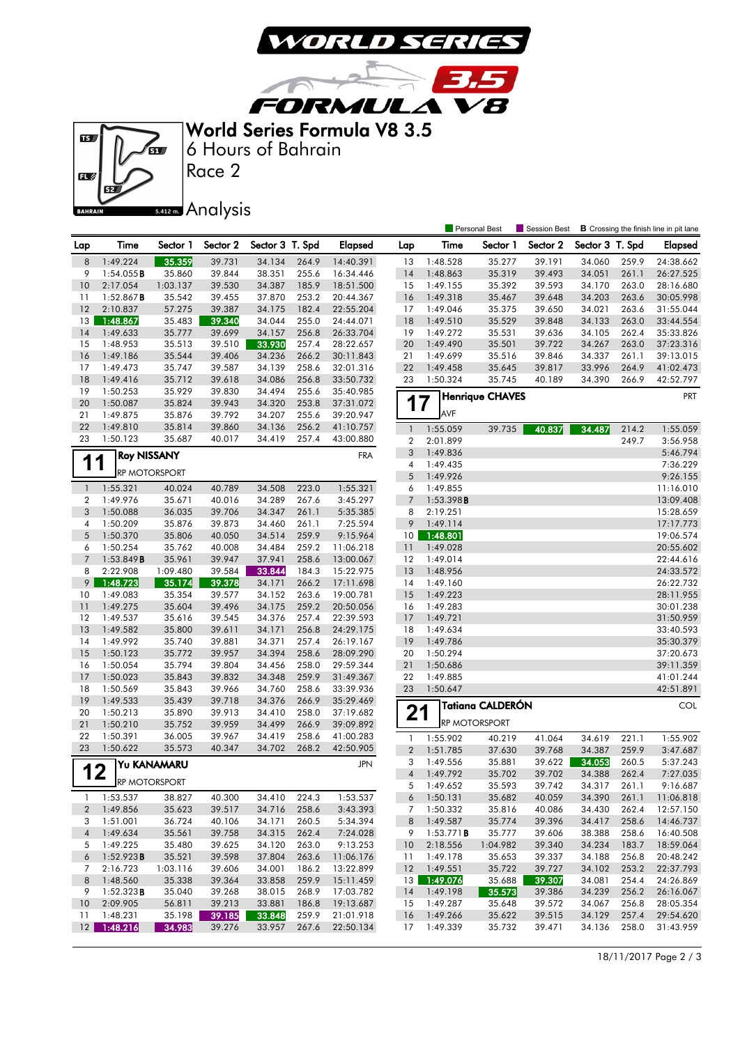

3.5

**FORMULA V8** World Series Formula V8 3.5

 $\sqrt{2}$ 



Race 2 6 Hours of Bahrain

## 5.412 m. Analysis

|                  |                      |                      |                  |                  |                |                        |                       |                      | <b>Personal Best</b>   | <b>Session Best</b> |                  |                | <b>B</b> Crossing the finish line in pit lane |
|------------------|----------------------|----------------------|------------------|------------------|----------------|------------------------|-----------------------|----------------------|------------------------|---------------------|------------------|----------------|-----------------------------------------------|
| Lap              | Time                 | Sector 1             | Sector 2         | Sector 3 T. Spd  |                | Elapsed                | Lap                   | Time                 | Sector 1               | Sector 2            | Sector 3 T. Spd  |                | <b>Elapsed</b>                                |
| $\,8\,$          | 1:49.224             | 35.359               | 39.731           | 34.134           | 264.9          | 14:40.391              | 13                    | 1:48.528             | 35.277                 | 39.191              | 34.060           | 259.9          | 24:38.662                                     |
| 9                | 1:54.055B            | 35.860               | 39.844           | 38.351           | 255.6          | 16:34.446              | 14                    | 1:48.863             | 35.319                 | 39.493              | 34.051           | 261.1          | 26:27.525                                     |
| 10               | 2:17.054             | 1:03.137             | 39.530           | 34.387           | 185.9          | 18:51.500              | 15                    | 1:49.155             | 35.392                 | 39.593              | 34.170           | 263.0          | 28:16.680                                     |
| 11               | 1:52.867B            | 35.542               | 39.455           | 37.870           | 253.2          | 20:44.367              | 16                    | 1:49.318             | 35.467                 | 39.648              | 34.203           | 263.6          | 30:05.998                                     |
| 12               | 2:10.837             | 57.275               | 39.387           | 34.175           | 182.4          | 22:55.204              | 17                    | 1:49.046             | 35.375                 | 39.650              | 34.021           | 263.6          | 31:55.044                                     |
| 13               | 1:48.867             | 35.483               | 39.340           | 34.044           | 255.0          | 24:44.071              | 18                    | 1:49.510             | 35.529                 | 39.848              | 34.133           | 263.0          | 33:44.554                                     |
| 14               | 1:49.633             | 35.777               | 39.699           | 34.157           | 256.8          | 26:33.704              | 19                    | 1:49.272             | 35.531                 | 39.636              | 34.105           | 262.4          | 35:33.826                                     |
| 15               | 1:48.953             | 35.513               | 39.510           | 33.930           | 257.4          | 28:22.657              | 20                    | 1:49.490             | 35.501                 | 39.722              | 34.267           | 263.0          | 37:23.316                                     |
| 16               | 1:49.186             | 35.544               | 39.406           | 34.236           | 266.2          | 30:11.843              | 21                    | 1:49.699             | 35.516                 | 39.846              | 34.337           | 261.1          | 39:13.015                                     |
| 17               | 1:49.473             | 35.747               | 39.587           | 34.139           | 258.6          | 32:01.316              | 22                    | 1:49.458             | 35.645                 | 39.817              | 33.996           | 264.9          | 41:02.473                                     |
| 18               | 1:49.416             | 35.712               | 39.618           | 34.086           | 256.8          | 33:50.732              | 23                    | 1:50.324             | 35.745                 | 40.189              | 34.390           | 266.9          | 42:52.797                                     |
| 19               | 1:50.253             | 35.929               | 39.830           | 34.494           | 255.6          | 35:40.985              |                       |                      | <b>Henrique CHAVES</b> |                     |                  |                | <b>PRT</b>                                    |
| 20               | 1:50.087             | 35.824               | 39.943           | 34.320           | 253.8          | 37:31.072              | 1                     | 7                    |                        |                     |                  |                |                                               |
| 21               | 1:49.875             | 35.876               | 39.792           | 34.207           | 255.6          | 39:20.947              |                       | AVF                  |                        |                     |                  |                |                                               |
| 22               | 1:49.810             | 35.814               | 39.860           | 34.136           | 256.2          | 41:10.757              | $\mathbf{1}$          | 1:55.059             | 39.735                 | 40.837              | 34.487           | 214.2          | 1:55.059                                      |
| 23               | 1:50.123             | 35.687               | 40.017           | 34.419           | 257.4          | 43:00.880              | $\overline{2}$        | 2:01.899             |                        |                     |                  | 249.7          | 3:56.958                                      |
|                  | <b>Roy NISSANY</b>   |                      |                  |                  |                | <b>FRA</b>             | 3                     | 1:49.836             |                        |                     |                  |                | 5:46.794                                      |
| 11               |                      |                      |                  |                  |                |                        | 4                     | 1:49.435             |                        |                     |                  |                | 7:36.229                                      |
|                  |                      | <b>RP MOTORSPORT</b> |                  |                  |                |                        | 5                     | 1:49.926             |                        |                     |                  |                | 9:26.155                                      |
| $\mathbf{1}$     | 1:55.321             | 40.024               | 40.789           | 34.508           | 223.0          | 1:55.321               | 6                     | 1:49.855             |                        |                     |                  |                | 11:16.010                                     |
| $\boldsymbol{2}$ | 1:49.976             | 35.671               | 40.016           | 34.289           | 267.6          | 3:45.297               | $7\overline{ }$       | 1:53.398B            |                        |                     |                  |                | 13:09.408                                     |
| 3                | 1:50.088             | 36.035               | 39.706           | 34.347           | 261.1          | 5:35.385               | 8                     | 2:19.251             |                        |                     |                  |                | 15:28.659                                     |
| $\overline{4}$   | 1:50.209             | 35.876               | 39.873           | 34.460           | 261.1          | 7:25.594               | 9                     | 1:49.114             |                        |                     |                  |                | 17:17.773                                     |
| 5                | 1:50.370             | 35.806               | 40.050           | 34.514           | 259.9          | 9:15.964               | 10 <sup>°</sup>       | 1:48.801             |                        |                     |                  |                | 19:06.574                                     |
| 6                | 1:50.254             | 35.762               | 40.008           | 34.484           | 259.2          | 11:06.218              | 11                    | 1:49.028             |                        |                     |                  |                | 20:55.602                                     |
| $\overline{7}$   | 1:53.849B            | 35.961               | 39.947           | 37.941           | 258.6          | 13:00.067              | 12                    | 1:49.014             |                        |                     |                  |                | 22:44.616                                     |
| 8                | 2:22.908             | 1:09.480             | 39.584           | 33.844           | 184.3          | 15:22.975              | 13                    | 1:48.956             |                        |                     |                  |                | 24:33.572                                     |
| 9                | 1:48.723             | 35.174               | 39.378           | 34.171           | 266.2          | 17:11.698              | 14                    | 1:49.160             |                        |                     |                  |                | 26:22.732                                     |
| 10               | 1:49.083             | 35.354               | 39.577           | 34.152           | 263.6          | 19:00.781              | 15                    | 1:49.223             |                        |                     |                  |                | 28:11.955                                     |
| 11               | 1:49.275             | 35.604               | 39.496           | 34.175           | 259.2          | 20:50.056              | 16                    | 1:49.283             |                        |                     |                  |                | 30:01.238                                     |
| 12               | 1:49.537             | 35.616               | 39.545           | 34.376           | 257.4          | 22:39.593              | 17                    | 1:49.721             |                        |                     |                  |                | 31:50.959                                     |
| 13               | 1:49.582             | 35.800               | 39.611           | 34.171           | 256.8          | 24:29.175              | 18                    | 1:49.634             |                        |                     |                  |                | 33:40.593                                     |
| 14               | 1:49.992             | 35.740               | 39.881           | 34.371           | 257.4          | 26:19.167              | 19                    | 1:49.786             |                        |                     |                  |                | 35:30.379                                     |
| 15               | 1:50.123             | 35.772               | 39.957           | 34.394           | 258.6          | 28:09.290              | 20                    | 1:50.294             |                        |                     |                  |                | 37:20.673                                     |
| 16               | 1:50.054             | 35.794               | 39.804           | 34.456           | 258.0          | 29:59.344              | 21                    | 1:50.686             |                        |                     |                  |                | 39:11.359                                     |
| 17               | 1:50.023             | 35.843               | 39.832           | 34.348           | 259.9          | 31:49.367              | 22                    | 1:49.885             |                        |                     |                  |                | 41:01.244                                     |
| 18               | 1:50.569             | 35.843               | 39.966           | 34.760           | 258.6          | 33:39.936              | 23                    | 1:50.647             |                        |                     |                  |                | 42:51.891                                     |
| 19               | 1:49.533             | 35.439               | 39.718           | 34.376           | 266.9          | 35:29.469              |                       |                      | Tatiana CALDERÓN       |                     |                  |                | COL                                           |
| 20               | 1:50.213             | 35.890               | 39.913           | 34.410           | 258.0          | 37:19.682              | 21                    |                      | RP MOTORSPORT          |                     |                  |                |                                               |
| 21               | 1:50.210             | 35.752               | 39.959           | 34.499           | 266.9          | 39:09.892              |                       |                      |                        |                     |                  |                |                                               |
| 22<br>23         | 1:50.391<br>1:50.622 | 36.005               | 39.967           | 34.419           | 258.6<br>268.2 | 41:00.283              | $\mathbf{1}$          | 1:55.902             | 40.219                 | 41.064              | 34.619           | 221.1          | 1:55.902                                      |
|                  |                      | 35.573               | 40.347           | 34.702           |                | 42:50.905              | $\overline{2}$        | 1:51.785             | 37.630                 | 39.768              | 34.387           | 259.9          | 3:47.687                                      |
| 12               |                      | Yu KANAMARU          |                  |                  |                | <b>JPN</b>             | 3                     | 1:49.556             | 35.881                 | 39.622              | 34.053           | 260.5          | 5:37.243                                      |
|                  | RP MOTORSPORT        |                      |                  |                  |                |                        | $\sqrt{4}$            | 1:49.792             | 35.702                 | 39.702              | 34.388           | 262.4          | 7:27.035                                      |
|                  |                      |                      |                  |                  |                |                        | 5                     | 1:49.652             | 35.593                 | 39.742              | 34.317           | 261.1          | 9:16.687                                      |
| $\mathbf{1}$     | 1:53.537             | 38.827               | 40.300           | 34.410           | 224.3          | 1:53.537               | 6                     | 1:50.131             | 35.682                 | 40.059              | 34.390           | 261.1          | 11:06.818                                     |
| $\overline{2}$   | 1:49.856             | 35.623               | 39.517           | 34.716           | 258.6          | 3:43.393               | 7                     | 1:50.332             | 35.816                 | 40.086              | 34.430           | 262.4          | 12:57.150                                     |
| 3                | 1:51.001             | 36.724               | 40.106           | 34.171           | 260.5          | 5:34.394               | 8                     | 1:49.587             | 35.774                 | 39.396              | 34.417           | 258.6          | 14:46.737                                     |
| $\overline{4}$   | 1:49.634<br>1:49.225 | 35.561               | 39.758           | 34.315           | 262.4          | 7:24.028               | 9                     | 1:53.771B            | 35.777                 | 39.606              | 38.388           | 258.6          | 16:40.508                                     |
| 5<br>6           |                      | 35.480<br>35.521     | 39.625<br>39.598 | 34.120           | 263.0<br>263.6 | 9:13.253               | 10                    | 2:18.556             | 1:04.982               | 39.340              | 34.234           | 183.7          | 18:59.064                                     |
|                  | 1:52.923B            |                      |                  | 37.804           |                | 11:06.176              | 11                    | 1:49.178             | 35.653                 | 39.337<br>39.727    | 34.188           | 256.8          | 20:48.242                                     |
| 7<br>8           | 2:16.723<br>1:48.560 | 1:03.116<br>35.338   | 39.606<br>39.364 | 34.001<br>33.858 | 186.2<br>259.9 | 13:22.899              | 12<br>13 <sup>1</sup> | 1:49.551<br>1:49.076 | 35.722<br>35.688       | 39.307              | 34.102<br>34.081 | 253.2<br>254.4 | 22:37.793<br>24:26.869                        |
| 9                | 1:52.323B            | 35.040               | 39.268           | 38.015           | 268.9          | 15:11.459<br>17:03.782 | 14                    | 1:49.198             | 35.573                 | 39.386              | 34.239           | 256.2          | 26:16.067                                     |
| 10               | 2:09.905             | 56.811               | 39.213           | 33.881           | 186.8          | 19:13.687              | 15                    | 1:49.287             | 35.648                 | 39.572              | 34.067           | 256.8          | 28:05.354                                     |
| 11               | 1:48.231             | 35.198               | 39.185           | 33.848           | 259.9          | 21:01.918              | <b>16</b>             | 1:49.266             | 35.622                 | 39.515              | 34.129           | 257.4          | 29:54.620                                     |
| 12               | 1:48.216             | 34.983               | 39.276           | 33.957           | 267.6          | 22:50.134              | 17                    | 1:49.339             | 35.732                 | 39.471              | 34.136           | 258.0          | 31:43.959                                     |
|                  |                      |                      |                  |                  |                |                        |                       |                      |                        |                     |                  |                |                                               |

18/11/2017 Page 2 / 3